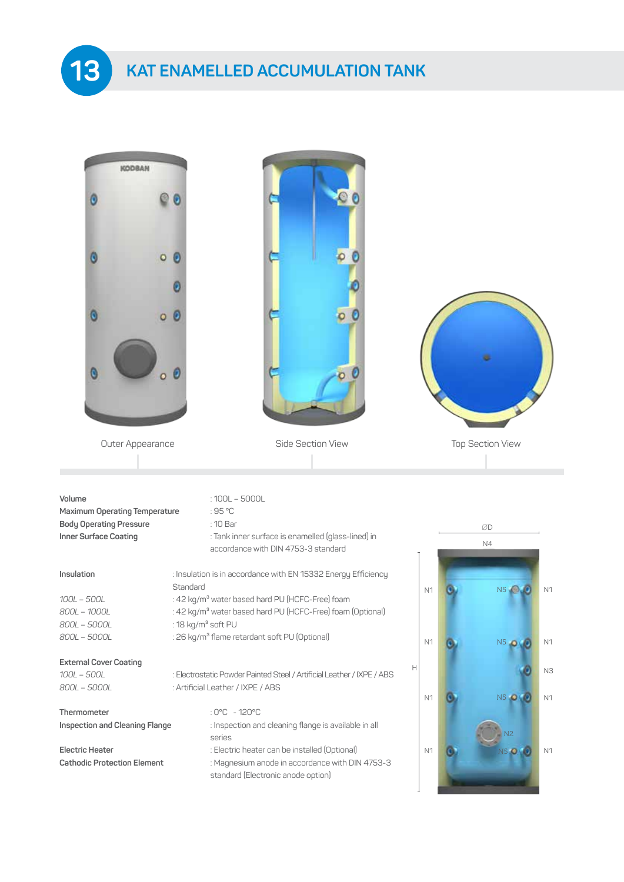**KAT ENAMELLED ACCUMULATION TANK**

**13**

| KODBAN                                                                                                    |                                |                                                                                     |                                                                        |                |                         |                |
|-----------------------------------------------------------------------------------------------------------|--------------------------------|-------------------------------------------------------------------------------------|------------------------------------------------------------------------|----------------|-------------------------|----------------|
|                                                                                                           |                                |                                                                                     |                                                                        |                |                         |                |
|                                                                                                           | O                              |                                                                                     |                                                                        |                |                         |                |
|                                                                                                           |                                |                                                                                     |                                                                        |                |                         |                |
|                                                                                                           | o                              |                                                                                     |                                                                        |                |                         |                |
| O                                                                                                         | $\boldsymbol{\theta}$<br>ö     |                                                                                     |                                                                        |                |                         |                |
| Outer Appearance                                                                                          |                                |                                                                                     | Side Section View                                                      |                | <b>Top Section View</b> |                |
| Volume<br><b>Maximum Operating Temperature</b><br><b>Body Operating Pressure</b><br>Inner Surface Coating | :95 °C<br>: 10 Bar             | $:100L - 5000L$<br>accordance with DIN 4753-3 standard                              | : Tank inner surface is enamelled (glass-lined) in                     |                | ØD<br>N4                |                |
| Insulation                                                                                                |                                |                                                                                     | : Insulation is in accordance with EN 15332 Energy Efficiency          |                |                         |                |
| $100L - 500L$<br>800L - 1000L                                                                             | Standard                       | : 42 kg/m <sup>3</sup> water based hard PU (HCFC-Free) foam                         | : 42 kg/m <sup>3</sup> water based hard PU (HCFC-Free) foam (Optional) | N <sub>1</sub> | NS <sub>o</sub>         | N <sub>1</sub> |
| 800L - 5000L<br>800L - 5000L                                                                              | : 18 kg/m <sup>3</sup> soft PU | : 26 kg/m <sup>3</sup> flame retardant soft PU (Optional)                           | N <sub>1</sub>                                                         | $N5$ $\Box$    | N <sub>1</sub>          |                |
| <b>External Cover Coating</b><br>100L - 500L                                                              |                                |                                                                                     | : Electrostatic Powder Painted Steel / Artificial Leather / IXPE / ABS | Н              |                         | N3             |
| 800L - 5000L                                                                                              |                                | : Artificial Leather / IXPE / ABS                                                   |                                                                        | N <sub>1</sub> | N5 0                    | N <sub>1</sub> |
| Thermometer                                                                                               |                                | : $0^{\circ}$ C - 120 $^{\circ}$ C                                                  |                                                                        |                |                         |                |
| Inspection and Cleaning Flange                                                                            | series                         |                                                                                     | : Inspection and cleaning flange is available in all                   |                |                         |                |
| <b>Electric Heater</b><br><b>Cathodic Protection Element</b>                                              |                                | : Electric heater can be installed (Optional)<br>standard (Electronic anode option) | : Magnesium anode in accordance with DIN 4753-3                        | N <sub>1</sub> | V5.                     | N <sub>1</sub> |

 $\overline{\phantom{a}}$ 

<u>in the company of the party of the party of the party of the party of the party of the party of the party of the </u>